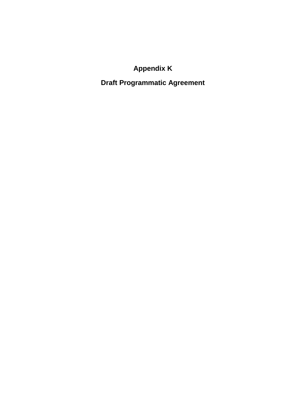# **Appendix K**

# **Draft Programmatic Agreement**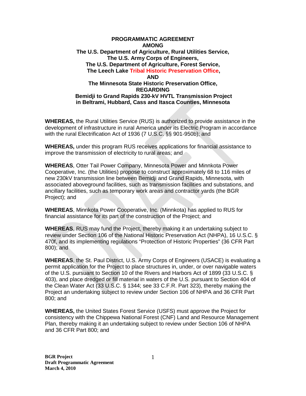#### **PROGRAMMATIC AGREEMENT AMONG The U.S. Department of Agriculture, Rural Utilities Service, The U.S. Army Corps of Engineers, The U.S. Department of Agriculture, Forest Service, The Leech Lake Tribal Historic Preservation Office, AND The Minnesota State Historic Preservation Office, REGARDING Bemidji to Grand Rapids 230-kV HVTL Transmission Project in Beltrami, Hubbard, Cass and Itasca Counties, Minnesota**

**WHEREAS,** the Rural Utilities Service (RUS) is authorized to provide assistance in the development of infrastructure in rural America under its Electric Program in accordance with the rural Electrification Act of 1936 (7 U.S.C. §§ 901-950b); and

**WHEREAS,** under this program RUS receives applications for financial assistance to improve the transmission of electricity to rural areas; and

**WHEREAS**, Otter Tail Power Company, Minnesota Power and Minnkota Power Cooperative, Inc. (the Utilities) propose to construct approximately 68 to 116 miles of new 230kV transmission line between Bemidji and Grand Rapids, Minnesota, with associated aboveground facilities, such as transmission facilities and substations, and ancillary facilities, such as temporary work areas and contractor yards (the BGR Project); and

**WHEREAS**, Minnkota Power Cooperative, Inc. (Minnkota) has applied to RUS for financial assistance for its part of the construction of the Project; and

**WHEREAS**, RUS may fund the Project, thereby making it an undertaking subject to review under Section 106 of the National Historic Preservation Act (NHPA), 16 U.S.C. § 470f, and its implementing regulations "Protection of Historic Properties" (36 CFR Part 800); and

**WHEREAS**, the St. Paul District, U.S. Army Corps of Engineers (USACE) is evaluating a permit application for the Project to place structures in, under, or over navigable waters of the U.S. pursuant to Section 10 of the Rivers and Harbors Act of 1899 (33 U.S.C. § 403), and place dredged or fill material in waters of the U.S. pursuant to Section 404 of the Clean Water Act (33 U.S.C. § 1344; see 33 C.F.R. Part 323), thereby making the Project an undertaking subject to review under Section 106 of NHPA and 36 CFR Part 800; and

**WHEREAS,** the United States Forest Service (USFS) must approve the Project for consistency with the Chippewa National Forest (CNF) Land and Resource Management Plan, thereby making it an undertaking subject to review under Section 106 of NHPA and 36 CFR Part 800; and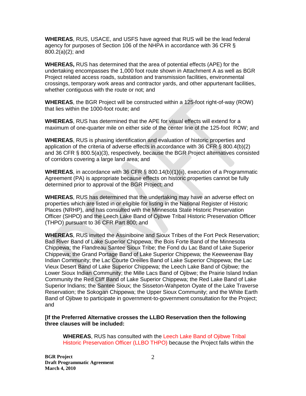**WHEREAS**, RUS, USACE, and USFS have agreed that RUS will be the lead federal agency for purposes of Section 106 of the NHPA in accordance with 36 CFR § 800.2(a)(2); and

**WHEREAS,** RUS has determined that the area of potential effects (APE) for the undertaking encompasses the 1,000 foot route shown in Attachment A as well as BGR Project related access roads, substation and transmission facilities, environmental crossings, temporary work areas and contractor yards, and other appurtenant facilities, whether contiguous with the route or not; and

**WHEREAS**, the BGR Project will be constructed within a 125-foot right-of-way (ROW) that lies within the 1000-foot route; and

**WHEREAS**, RUS has determined that the APE for visual effects will extend for a maximum of one-quarter mile on either side of the center line of the 125-foot ROW; and

**WHEREAS**, RUS is phasing identification and evaluation of historic properties and application of the criteria of adverse effects in accordance with 36 CFR § 800.4(b)(2) and 36 CFR § 800.5(a)(3), respectively, because the BGR Project alternatives consisted of corridors covering a large land area; and

**WHEREAS**, in accordance with 36 CFR § 800.14(b)(1)(ii), execution of a Programmatic Agreement (PA) is appropriate because effects on historic properties cannot be fully determined prior to approval of the BGR Project; and

**WHEREAS**, RUS has determined that the undertaking may have an adverse effect on properties which are listed in or eligible for listing in the National Register of Historic Places (NRHP), and has consulted with the Minnesota State Historic Preservation Officer (SHPO) and the Leech Lake Band of Ojibwe Tribal Historic Preservation Officer (THPO) pursuant to 36 CFR Part 800; and

**WHEREAS**, RUS invited the Assiniboine and Sioux Tribes of the Fort Peck Reservation; Bad River Band of Lake Superior Chippewa; the Bois Forte Band of the Minnesota Chippewa; the Flandreau Santee Sioux Tribe; the Fond du Lac Band of Lake Superior Chippewa; the Grand Portage Band of Lake Superior Chippewa; the Keeweenaw Bay Indian Community; the Lac Courte Oreilles Band of Lake Superior Chippewa; the Lac Vieux Desert Band of Lake Superior Chippewa; the Leech Lake Band of Ojibwe; the Lower Sioux Indian Community; the Mille Lacs Band of Ojibwe; the Prairie Island Indian Community the Red Cliff Band of Lake Superior Chippewa; the Red Lake Band of Lake Superior Indians; the Santee Sioux; the Sisseton-Wahpeton Oyate of the Lake Traverse Reservation; the Sokogan Chippewa; the Upper Sioux Community; and the White Earth Band of Ojibwe to participate in government-to-government consultation for the Project; and

#### **[If the Preferred Alternative crosses the LLBO Reservation then the following three clauses will be included:**

**WHEREAS**, RUS has consulted with the Leech Lake Band of Ojibwe Tribal Historic Preservation Officer (LLBO THPO) because the Project falls within the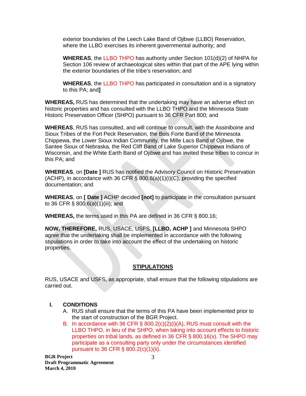exterior boundaries of the Leech Lake Band of Ojibwe (LLBO) Reservation, where the LLBO exercises its inherent governmental authority; and

**WHEREAS**, the LLBO THPO has authority under Section 101(d)(2) of NHPA for Section 106 review of archaeological sites within that part of the APE lying within the exterior boundaries of the tribe's reservation; and

**WHEREAS**, the LLBO THPO has participated in consultation and is a signatory to this PA; and**]**

**WHEREAS,** RUS has determined that the undertaking may have an adverse effect on historic properties and has consulted with the LLBO THPO and the Minnesota State Historic Preservation Officer (SHPO) pursuant to 36 CFR Part 800; and

**WHEREAS**, RUS has consulted, and will continue to consult, with the Assiniboine and Sioux Tribes of the Fort Peck Reservation, the Bois Forte Band of the Minnesota Chippewa, the Lower Sioux Indian Community, the Mille Lacs Band of Ojibwe, the Santee Sioux of Nebraska, the Red Cliff Band of Lake Superior Chippewa Indians of Wisconsin, and the White Earth Band of Ojibwe and has invited these tribes to concur in this PA; and

**WHEREAS**, on **[Date ]** RUS has notified the Advisory Council on Historic Preservation (ACHP), in accordance with 36 CFR  $\S$  800.6(a)(1)(i)(C), providing the specified documentation; and

**WHEREAS**, on **[ Date ]** ACHP decided **[not]** to participate in the consultation pursuant to 36 CFR § 800.6(a)(1)(iii); and

**WHEREAS,** the terms used in this PA are defined in 36 CFR § 800.16;

**NOW, THEREFORE,** RUS, USACE, USFS, **[LLBO, ACHP ]** and Minnesota SHPO agree that the undertaking shall be implemented in accordance with the following stipulations in order to take into account the effect of the undertaking on historic properties.

### **STIPULATIONS**

RUS, USACE and USFS, as appropriate, shall ensure that the following stipulations are carried out.

# **I. CONDITIONS**

- A. RUS shall ensure that the terms of this PA have been implemented prior to the start of construction of the BGR Project.
- B. In accordance with 36 CFR  $\S$  800.2(c)(2)(i)(A), RUS must consult with the LLBO THPO, in lieu of the SHPO, when taking into account effects to historic properties on tribal lands, as defined in 36 CFR § 800.16(x). The SHPO may participate as a consulting party only under the circumstances identified pursuant to 36 CFR § 800.2(c)(1)(ii).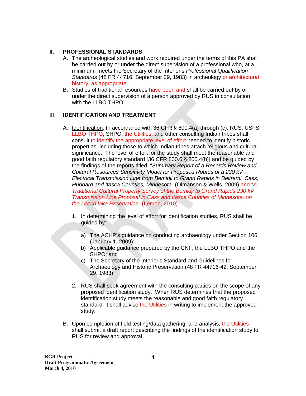## **II. PROFESSIONAL STANDARDS**

- A. The archeological studies and work required under the terms of this PA shall be carried out by or under the direct supervision of a professional who, at a minimum, meets the Secretary of the Interior's *Professional Qualification Standards* (48 FR 44716, September 29, 1983) in archeology or architectural history, as appropriate.
- B. Studies of traditional resources have been and shall be carried out by or under the direct supervision of a person approved by RUS in consultation with the LLBO THPO.

## III. **IDENTIFICATION AND TREATMENT**

- A. Identification: In accordance with 36 CFR § 800.4(a) through (c), RUS, USFS, LLBO THPO, SHPO, the Utilities, and other consulting Indian tribes shall consult to identify the appropriate level of effort needed to identify historic properties, including those to which Indian tribes attach religious and cultural significance. The level of effort for the study shall meet the reasonable and good faith regulatory standard [36 CFR 800.6 § 800.4(b)] and be guided by the findings of the reports titled, "*Summary Report of a Records Review and Cultural Resources Sensitivity Model for Proposed Routes of a 230 kV Electrical Transmission Line from Bemidji to Grand Rapids in Beltrami, Cass, Hubbard and Itasca Counties, Minnesota*" (Olmanson & Wells, 2009) and "*A Traditional Cultural Property Survey of the Bemidji to Grand Rapids 230 kV Transmission Line Proposal in Cass and Itasca Counties of Minnesota, on the Leech lake Reservation*" (Lemon, 2010).
	- 1. In determining the level of effort for identification studies, RUS shall be guided by:
		- a) The ACHP's guidance on conducting archaeology under Section 106 (January 1, 2009);
		- b) Applicable guidance prepared by the CNF, the LLBO THPO and the SHPO; and
		- c) The Secretary of the Interior's Standard and Guidelines for Archaeology and Historic Preservation (48 FR 44716-42, September 29, 1983).
	- 2. RUS shall seek agreement with the consulting parties on the scope of any proposed identification study. When RUS determines that the proposed identification study meets the reasonable and good faith regulatory standard, it shall advise the Utilities in writing to implement the approved study.
- B. Upon completion of field testing/data gathering, and analysis, the Utilities shall submit a draft report describing the findings of the identification study to RUS for review and approval.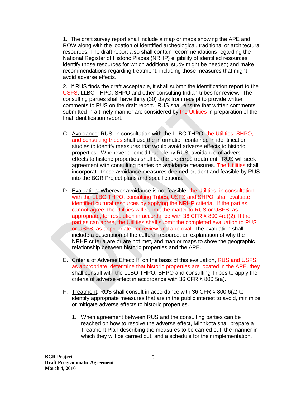1. The draft survey report shall include a map or maps showing the APE and ROW along with the location of identified archeological, traditional or architectural resources. The draft report also shall contain recommendations regarding the National Register of Historic Places (NRHP) eligibility of identified resources; identify those resources for which additional study might be needed; and make recommendations regarding treatment, including those measures that might avoid adverse effects.

2. If RUS finds the draft acceptable, it shall submit the identification report to the USFS, LLBO THPO, SHPO and other consulting Indian tribes for review. The consulting parties shall have thirty (30) days from receipt to provide written comments to RUS on the draft report. RUS shall ensure that written comments submitted in a timely manner are considered by the Utilities in preparation of the final identification report.

- C. Avoidance: RUS, in consultation with the LLBO THPO, the Utilities, SHPO, and consulting tribes shall use the information contained in identification studies to identify measures that would avoid adverse effects to historic properties. Whenever deemed feasible by RUS, avoidance of adverse effects to historic properties shall be the preferred treatment. RUS will seek agreement with consulting parties on avoidance measures. The Utilities shall incorporate those avoidance measures deemed prudent and feasible by RUS into the BGR Project plans and specifications.
- D. Evaluation: Wherever avoidance is not feasible, the Utilities, in consultation with the LLBO THPO, consulting Tribes, USFS and SHPO, shall evaluate identified cultural resources by applying the NRHP criteria. If the parties cannot agree, the Utilities will submit the matter to RUS or USFS, as appropriate, for resolution in accordance with 36 CFR § 800.4(c)(2). If the parties can agree, the Utilities shall submit the completed evaluation to RUS or USFS, as appropriate, for review and approval. The evaluation shall include a description of the cultural resource, an explanation of why the NRHP criteria are or are not met, and map or maps to show the geographic relationship between historic properties and the APE.
- E. Criteria of Adverse Effect: If, on the basis of this evaluation, RUS and USFS, as appropriate, determine that historic properties are located in the APE, they shall consult with the LLBO THPO, SHPO and consulting Tribes to apply the criteria of adverse effect in accordance with 36 CFR § 800.5(a).
- F. Treatment: RUS shall consult in accordance with 36 CFR § 800.6(a) to identify appropriate measures that are in the public interest to avoid, minimize or mitigate adverse effects to historic properties.
	- 1. When agreement between RUS and the consulting parties can be reached on how to resolve the adverse effect, Minnkota shall prepare a Treatment Plan describing the measures to be carried out, the manner in which they will be carried out, and a schedule for their implementation.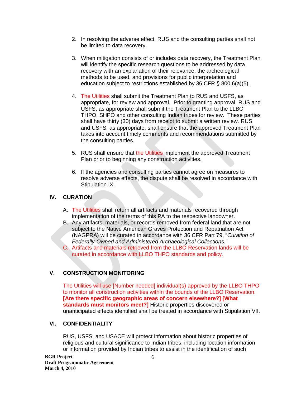- 2. In resolving the adverse effect, RUS and the consulting parties shall not be limited to data recovery.
- 3. When mitigation consists of or includes data recovery, the Treatment Plan will identify the specific research questions to be addressed by data recovery with an explanation of their relevance, the archeological methods to be used, and provisions for public interpretation and education subject to restrictions established by 36 CFR § 800.6(a)(5).
- 4. The Utilities shall submit the Treatment Plan to RUS and USFS, as appropriate, for review and approval. Prior to granting approval, RUS and USFS, as appropriate shall submit the Treatment Plan to the LLBO THPO, SHPO and other consulting Indian tribes for review. These parties shall have thirty (30) days from receipt to submit a written review. RUS and USFS, as appropriate, shall ensure that the approved Treatment Plan takes into account timely comments and recommendations submitted by the consulting parties.
- 5. RUS shall ensure that the Utilities implement the approved Treatment Plan prior to beginning any construction activities.
- 6. If the agencies and consulting parties cannot agree on measures to resolve adverse effects, the dispute shall be resolved in accordance with Stipulation IX.

# **IV. CURATION**

- A. The Utilities shall return all artifacts and materials recovered through implementation of the terms of this PA to the respective landowner.
- B. Any artifacts, materials, or records removed from federal land that are not subject to the Native American Graves Protection and Repatriation Act (NAGPRA) will be curated in accordance with 36 CFR Part 79, "*Curation of Federally-Owned and Administered Archaeological Collections.*"
- C. Artifacts and materials retrieved from the LLBO Reservation lands will be curated in accordance with LLBO THPO standards and policy.

# **V. CONSTRUCTION MONITORING**

The Utilities will use [Number needed] individual(s) approved by the LLBO THPO to monitor all construction activities within the bounds of the LLBO Reservation. **[Are there specific geographic areas of concern elsewhere?] [What standards must monitors meet?]** Historic properties discovered or unanticipated effects identified shall be treated in accordance with Stipulation VII.

# **VI. CONFIDENTIALITY**

RUS, USFS, and USACE will protect information about historic properties of religious and cultural significance to Indian tribes, including location information or information provided by Indian tribes to assist in the identification of such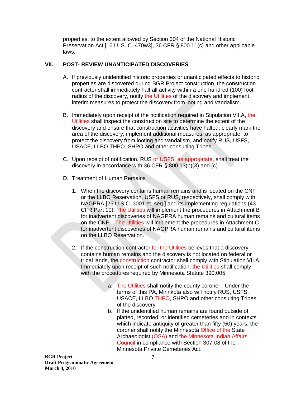properties, to the extent allowed by Section 304 of the National Historic Preservation Act [16 U. S. C. 470w3], 36 CFR § 800.11(c) and other applicable laws.

# **VII. POST- REVIEW UNANTICIPATED DISCOVERIES**

- A. If previously unidentified historic properties or unanticipated effects to historic properties are discovered during BGR Project construction, the construction contractor shall immediately halt all activity within a one hundred (100) foot radius of the discovery, notify the Utilities of the discovery and implement interim measures to protect the discovery from looting and vandalism.
- B. Immediately upon receipt of the notification required in Stipulation VII.A, the Utilities shall inspect the construction site to determine the extent of the discovery and ensure that construction activities have halted, clearly mark the area of the discovery, implement additional measures, as appropriate, to protect the discovery from looting and vandalism, and notify RUS, USFS, USACE, LLBO THPO, SHPO and other consulting Tribes.
- C. Upon receipt of notification, RUS or USFS, as appropriate, shall treat the discovery in accordance with 36 CFR § 800.13(b)(3) and (c).
- D. Treatment of Human Remains
	- 1. When the discovery contains human remains and is located on the CNF or the LLBO Reservation, USFS or RUS, respectively, shall comply with NAGPRA [25 U.S.C. 3001 et. seq.] and its implementing regulations (43 CFR Part 10). The Utilities will implement the procedures in Attachment B for inadvertent discoveries of NAGPRA human remains and cultural items on the CNF. The Utilities will implement the procedures in Attachment C for inadvertent discoveries of NAGPRA human remains and cultural items on the LLBO Reservation.
	- 2. If the construction contractor for the Utilities believes that a discovery contains human remains and the discovery is not located on federal or tribal lands, the construction contractor shall comply with Stipulation VII.A. Immediately upon receipt of such notification, the Utilities shall comply with the procedures required by Minnesota Statute 390.005.
		- a. The Utilities shall notify the county coroner. Under the terms of this PA, Minnkota also will notify RUS, USFS. USACE, LLBO THPO, SHPO and other consulting Tribes of the discovery.
		- b. If the unidentified human remains are found outside of platted, recorded, or identified cemeteries and in contexts which indicate antiquity of greater than fifty (50) years, the coroner shall notify the Minnesota Office of the State Archaeologist (OSA) and the Minnesota Indian Affairs Council in compliance with Section 307-08 of the Minnesota Private Cemeteries Act.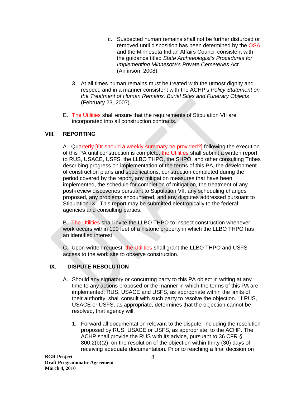- c. Suspected human remains shall not be further disturbed or removed until disposition has been determined by the OSA and the Minnesota Indian Affairs Council consistent with the guidance titled *State Archaeologist's Procedures for Implementing Minnesota's Private Cemeteries Act*. (Anfinson, 2008).
- 3. At all times human remains must be treated with the utmost dignity and respect, and in a manner consistent with the ACHP's *Policy Statement on the Treatment of Human Remains, Burial Sites and Funerary Objects* (February 23, 2007).
- E. The Utilities shall ensure that the requirements of Stipulation VII are incorporated into all construction contracts.

# **VIII. REPORTING**

A. Quarterly [Or should a weekly summary be provided?] following the execution of this PA until construction is complete, the Utilities shall submit a written report to RUS, USACE, USFS, the LLBO THPO, the SHPO, and other consulting Tribes describing progress on implementation of the terms of this PA, the development of construction plans and specifications, construction completed during the period covered by the report, any mitigation measures that have been implemented, the schedule for completion of mitigation, the treatment of any post-review discoveries pursuant to Stipulation VII, any scheduling changes proposed, any problems encountered, and any disputes addressed pursuant to Stipulation IX. This report may be submitted electronically to the federal agencies and consulting parties.

B. The Utilities shall invite the LLBO THPO to inspect construction whenever work occurs within 100 feet of a historic property in which the LLBO THPO has an identified interest.

C. Upon written request, the Utilities shall grant the LLBO THPO and USFS access to the work site to observe construction.

# **IX. DISPUTE RESOLUTION**

- A. Should any signatory or concurring party to this PA object in writing at any time to any actions proposed or the manner in which the terms of this PA are implemented, RUS, USACE and USFS, as appropriate within the limits of their authority, shall consult with such party to resolve the objection. If RUS, USACE or USFS, as appropriate, determines that the objection cannot be resolved, that agency will:
	- 1. Forward all documentation relevant to the dispute, including the resolution proposed by RUS, USACE or USFS, as appropriate, to the ACHP. The ACHP shall provide the RUS with its advice, pursuant to 36 CFR § 800.2(b)(2), on the resolution of the objection within thirty (30) days of receiving adequate documentation. Prior to reaching a final decision on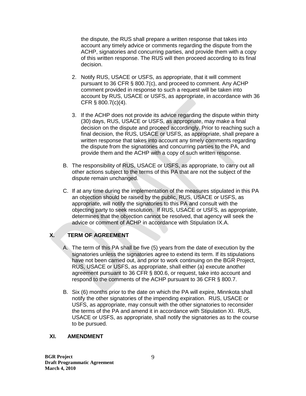the dispute, the RUS shall prepare a written response that takes into account any timely advice or comments regarding the dispute from the ACHP, signatories and concurring parties, and provide them with a copy of this written response. The RUS will then proceed according to its final decision.

- 2. Notify RUS, USACE or USFS, as appropriate, that it will comment pursuant to 36 CFR § 800.7(c), and proceed to comment. Any ACHP comment provided in response to such a request will be taken into account by RUS, USACE or USFS, as appropriate, in accordance with 36 CFR § 800.7(c)(4).
- 3. If the ACHP does not provide its advice regarding the dispute within thirty (30) days, RUS, USACE or USFS, as appropriate, may make a final decision on the dispute and proceed accordingly. Prior to reaching such a final decision, the RUS, USACE or USFS, as appropriate, shall prepare a written response that takes into account any timely comments regarding the dispute from the signatories and concurring parties to the PA, and provide them and the ACHP with a copy of such written response.
- B. The responsibility of RUS, USACE or USFS, as appropriate, to carry out all other actions subject to the terms of this PA that are not the subject of the dispute remain unchanged.
- C. If at any time during the implementation of the measures stipulated in this PA an objection should be raised by the public, RUS, USACE or USFS, as appropriate, will notify the signatories to this PA and consult with the objecting party to seek resolution. If RUS, USACE or USFS, as appropriate, determines that the objection cannot be resolved, that agency will seek the advice or comment of ACHP in accordance with Stipulation IX.A.

# **X. TERM OF AGREEMENT**

- A. The term of this PA shall be five (5) years from the date of execution by the signatories unless the signatories agree to extend its term. If its stipulations have not been carried out, and prior to work continuing on the BGR Project, RUS, USACE or USFS, as appropriate, shall either (a) execute another agreement pursuant to 36 CFR § 800.6, or request, take into account and respond to the comments of the ACHP pursuant to 36 CFR § 800.7.
- B. Six (6) months prior to the date on which the PA will expire, Minnkota shall notify the other signatories of the impending expiration. RUS, USACE or USFS, as appropriate, may consult with the other signatories to reconsider the terms of the PA and amend it in accordance with Stipulation XI. RUS, USACE or USFS, as appropriate, shall notify the signatories as to the course to be pursued.

### **XI. AMENDMENT**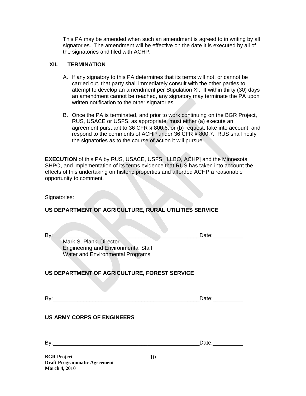This PA may be amended when such an amendment is agreed to in writing by all signatories. The amendment will be effective on the date it is executed by all of the signatories and filed with ACHP.

#### **XII. TERMINATION**

- A. If any signatory to this PA determines that its terms will not, or cannot be carried out, that party shall immediately consult with the other parties to attempt to develop an amendment per Stipulation XI. If within thirty (30) days an amendment cannot be reached, any signatory may terminate the PA upon written notification to the other signatories.
- B. Once the PA is terminated, and prior to work continuing on the BGR Project, RUS, USACE or USFS, as appropriate, must either (a) execute an agreement pursuant to 36 CFR § 800.6, or (b) request, take into account, and respond to the comments of ACHP under 36 CFR § 800.7. RUS shall notify the signatories as to the course of action it will pursue.

**EXECUTION** of this PA by RUS, USACE, USFS, [LLBO, ACHP] and the Minnesota SHPO, and implementation of its terms evidence that RUS has taken into account the effects of this undertaking on historic properties and afforded ACHP a reasonable opportunity to comment.

Signatories:

### **US DEPARTMENT OF AGRICULTURE, RURAL UTILITIES SERVICE**

Date:

Mark S. Plank, Director Engineering and Environmental Staff Water and Environmental Programs

# **US DEPARTMENT OF AGRICULTURE, FOREST SERVICE**

Date:

### **US ARMY CORPS OF ENGINEERS**

 $Date:$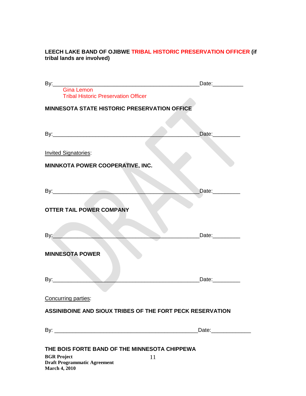# **LEECH LAKE BAND OF OJIBWE TRIBAL HISTORIC PRESERVATION OFFICER (if tribal lands are involved)**

|                                                                           | Date:___________    |
|---------------------------------------------------------------------------|---------------------|
| <b>Gina Lemon</b><br><b>Tribal Historic Preservation Officer</b>          |                     |
| <b>MINNESOTA STATE HISTORIC PRESERVATION OFFICE</b>                       |                     |
|                                                                           |                     |
|                                                                           | Date:__________     |
| <b>Invited Signatories:</b>                                               |                     |
| MINNKOTA POWER COOPERATIVE, INC.                                          |                     |
|                                                                           |                     |
|                                                                           | Date:_________      |
| <b>OTTER TAIL POWER COMPANY</b>                                           |                     |
| By: $\overline{\phantom{a}}$                                              | Date:_________      |
| <b>MINNESOTA POWER</b>                                                    |                     |
| By:                                                                       |                     |
| Concurring parties:                                                       |                     |
| ASSINIBOINE AND SIOUX TRIBES OF THE FORT PECK RESERVATION                 |                     |
|                                                                           | Date:______________ |
|                                                                           |                     |
| THE BOIS FORTE BAND OF THE MINNESOTA CHIPPEWA<br><b>BGR Project</b><br>11 |                     |
| <b>Draft Programmatic Agreement</b><br><b>March 4, 2010</b>               |                     |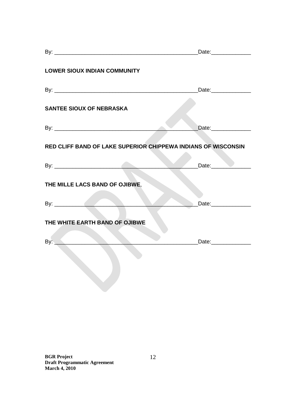| <b>LOWER SIOUX INDIAN COMMUNITY</b>                           |                      |
|---------------------------------------------------------------|----------------------|
|                                                               | Date:_______________ |
| <b>SANTEE SIOUX OF NEBRASKA</b>                               |                      |
|                                                               | Date:______________  |
| RED CLIFF BAND OF LAKE SUPERIOR CHIPPEWA INDIANS OF WISCONSIN |                      |
|                                                               | Date: Date:          |
| THE MILLE LACS BAND OF OJIBWE,                                |                      |
|                                                               | Date:______________  |
| THE WHITE EARTH BAND OF OJIBWE                                |                      |
| By: $\qquad \qquad$                                           | Date:_______________ |
|                                                               |                      |
|                                                               |                      |
|                                                               |                      |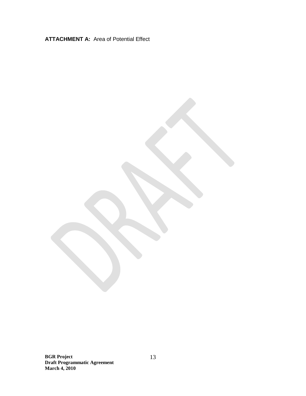**ATTACHMENT A:** Area of Potential Effect

**BGR Project Draft Programmatic Agreement March 4, 2010**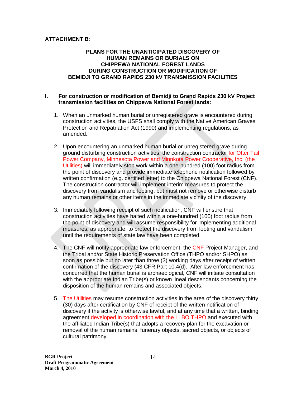## **ATTACHMENT B**:

### **PLANS FOR THE UNANTICIPATED DISCOVERY OF HUMAN REMAINS OR BURIALS ON CHIPPEWA NATIONAL FOREST LANDS DURING CONSTRUCTION OR MODIFICATION OF BEMIDJI TO GRAND RAPIDS 230 kV TRANSMISSION FACILITIES**

#### **I. For construction or modification of Bemidji to Grand Rapids 230 kV Project transmission facilities on Chippewa National Forest lands:**

- 1. When an unmarked human burial or unregistered grave is encountered during construction activities, the USFS shall comply with the Native American Graves Protection and Repatriation Act (1990) and implementing regulations, as amended.
- 2. Upon encountering an unmarked human burial or unregistered grave during ground disturbing construction activities, the construction contractor for Otter Tail Power Company, Minnesota Power and Minnkota Power Cooperative, Inc. (the Utilities) will immediately stop work within a one-hundred (100) foot radius from the point of discovery and provide immediate telephone notification followed by written confirmation (e.g. certified letter) to the Chippewa National Forest (CNF). The construction contractor will implement interim measures to protect the discovery from vandalism and looting, but must not remove or otherwise disturb any human remains or other items in the immediate vicinity of the discovery.
- 3. Immediately following receipt of such notification, CNF will ensure that construction activities have halted within a one-hundred (100) foot radius from the point of discovery and will assume responsibility for implementing additional measures, as appropriate, to protect the discovery from looting and vandalism until the requirements of state law have been completed.
- 4. The CNF will notify appropriate law enforcement, the CNF Project Manager, and the Tribal and/or State Historic Preservation Office (THPO and/or SHPO) as soon as possible but no later than three (3) working days after receipt of written confirmation of the discovery (43 CFR Part 10.4(d). After law enforcement has concurred that the human burial is archaeological, CNF will initiate consultation with the appropriate Indian Tribe(s) or known lineal descendants concerning the disposition of the human remains and associated objects.
- 5. The Utilities may resume construction activities in the area of the discovery thirty (30) days after certification by CNF of receipt of the written notification of discovery if the activity is otherwise lawful, and at any time that a written, binding agreement developed in coordination with the LLBO THPO and executed with the affiliated Indian Tribe(s) that adopts a recovery plan for the excavation or removal of the human remains, funerary objects, sacred objects, or objects of cultural patrimony.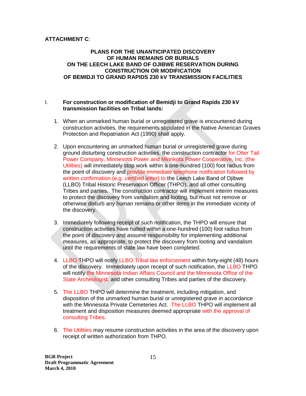# **ATTACHMENT C**:

### **PLANS FOR THE UNANTICIPATED DISCOVERY OF HUMAN REMAINS OR BURIALS ON THE LEECH LAKE BAND OF OJIBWE RESERVATION DURING CONSTRUCTION OR MODIFICATION OF BEMIDJI TO GRAND RAPIDS 230 kV TRANSMISSION FACILITIES**

#### I. **For construction or modification of Bemidji to Grand Rapids 230 kV transmission facilities on Tribal lands:**

- 1. When an unmarked human burial or unregistered grave is encountered during construction activities, the requirements stipulated in the Native American Graves Protection and Repatriation Act (1990) shall apply.
- 2. Upon encountering an unmarked human burial or unregistered grave during ground disturbing construction activities, the construction contractor for Otter Tail Power Company, Minnesota Power and Minnkota Power Cooperative, Inc. (the Utilities) will immediately stop work within a one-hundred (100) foot radius from the point of discovery and provide immediate telephone notification followed by written confirmation (e.g. certified letter) to the Leech Lake Band of Ojibwe (LLBO) Tribal Historic Preservation Officer (THPO), and all other consulting Tribes and parties. The construction contractor will implement interim measures to protect the discovery from vandalism and looting, but must not remove or otherwise disturb any human remains or other items in the immediate vicinity of the discovery.
- 3. Immediately following receipt of such notification, the THPO will ensure that construction activities have halted within a one-hundred (100) foot radius from the point of discovery and assume responsibility for implementing additional measures, as appropriate, to protect the discovery from looting and vandalism until the requirements of state law have been completed.
- 4. LLBO THPO will notify LLBO Tribal law enforcement within forty-eight (48) hours of the discovery. Immediately upon receipt of such notification, the LLBO THPO will notify the Minnesota Indian Affairs Council and the Minnesota Office of the State Archeologist, and other consulting Tribes and parties of the discovery.
- 5. The LLBO THPO will determine the treatment, including mitigation, and disposition of the unmarked human burial or unregistered grave in accordance with the Minnesota Private Cemeteries Act. The LLBO THPO will implement all treatment and disposition measures deemed appropriate with the approval of consulting Tribes.
- 6. The Utilities may resume construction activities in the area of the discovery upon receipt of written authorization from THPO.